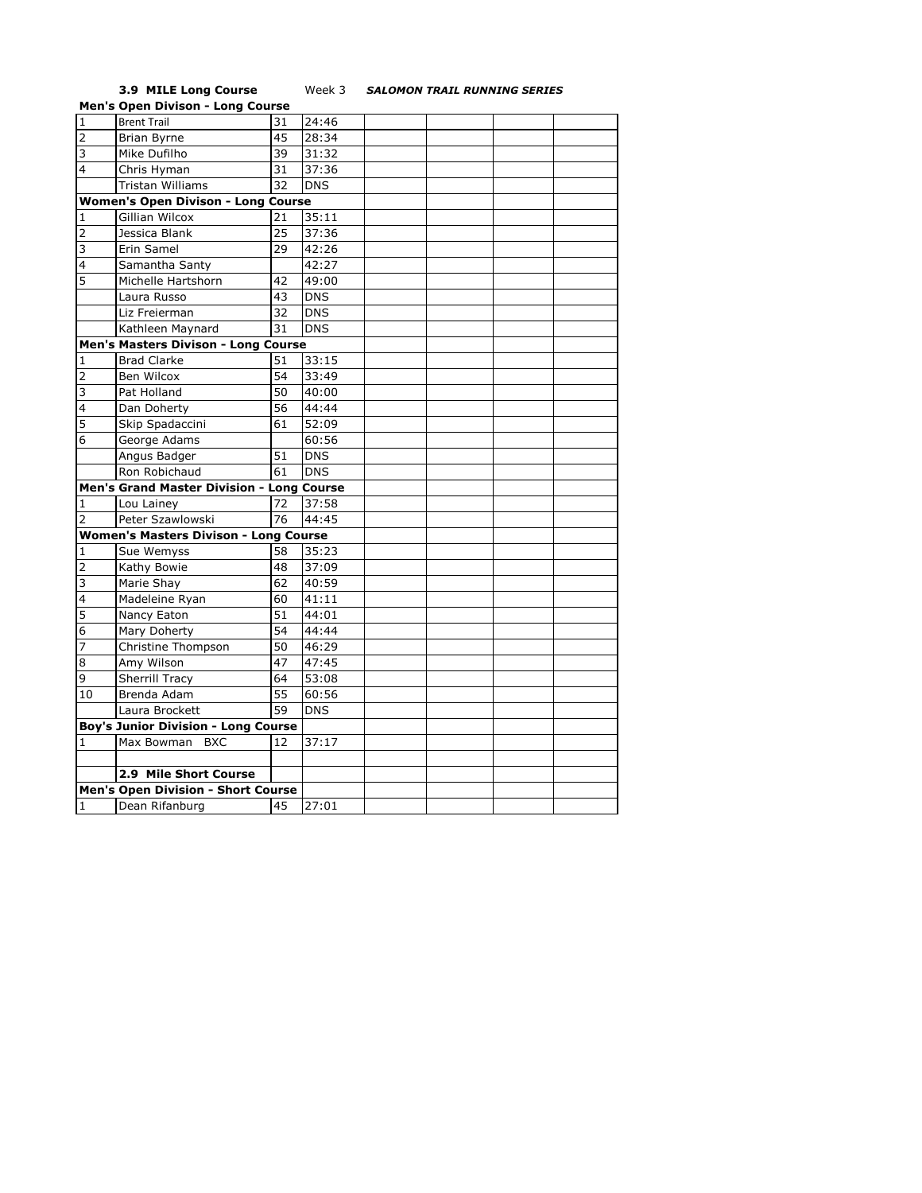## **3.9 MILE Long Course** Week 3 *SALOMON TRAIL RUNNING SERIES*

|                                              | <b>Men's Open Divison - Long Course</b>    |    |            |  |  |  |  |
|----------------------------------------------|--------------------------------------------|----|------------|--|--|--|--|
| $\overline{1}$                               | <b>Brent Trail</b>                         | 31 | 24:46      |  |  |  |  |
| $\overline{2}$                               | <b>Brian Byrne</b>                         | 45 | 28:34      |  |  |  |  |
| 3                                            | Mike Dufilho                               | 39 | 31:32      |  |  |  |  |
| 4                                            | Chris Hyman                                | 31 | 37:36      |  |  |  |  |
|                                              | <b>Tristan Williams</b>                    | 32 | <b>DNS</b> |  |  |  |  |
|                                              | <b>Women's Open Divison - Long Course</b>  |    |            |  |  |  |  |
| 1                                            | <b>Gillian Wilcox</b>                      | 21 | 35:11      |  |  |  |  |
| $\overline{2}$                               | Jessica Blank                              | 25 | 37:36      |  |  |  |  |
| $\overline{3}$                               | Erin Samel                                 | 29 | 42:26      |  |  |  |  |
| 4                                            | Samantha Santy                             |    | 42:27      |  |  |  |  |
| 5                                            | Michelle Hartshorn                         | 42 | 49:00      |  |  |  |  |
|                                              | Laura Russo                                | 43 | <b>DNS</b> |  |  |  |  |
|                                              | Liz Freierman                              | 32 | <b>DNS</b> |  |  |  |  |
|                                              | Kathleen Maynard                           | 31 | <b>DNS</b> |  |  |  |  |
|                                              | Men's Masters Divison - Long Course        |    |            |  |  |  |  |
| 1                                            | <b>Brad Clarke</b>                         | 51 | 33:15      |  |  |  |  |
| $\overline{2}$                               | Ben Wilcox                                 | 54 | 33:49      |  |  |  |  |
| $\overline{3}$                               | Pat Holland                                | 50 | 40:00      |  |  |  |  |
| $\overline{4}$                               | Dan Doherty                                | 56 | 44:44      |  |  |  |  |
| 5                                            | Skip Spadaccini                            | 61 | 52:09      |  |  |  |  |
| 6                                            | George Adams                               |    | 60:56      |  |  |  |  |
|                                              | Angus Badger                               | 51 | <b>DNS</b> |  |  |  |  |
|                                              | Ron Robichaud                              | 61 | <b>DNS</b> |  |  |  |  |
|                                              | Men's Grand Master Division - Long Course  |    |            |  |  |  |  |
| 1                                            | Lou Lainey                                 | 72 | 37:58      |  |  |  |  |
| 2                                            | Peter Szawlowski                           | 76 | 44:45      |  |  |  |  |
| <b>Women's Masters Divison - Long Course</b> |                                            |    |            |  |  |  |  |
| 1                                            | Sue Wemyss                                 | 58 | 35:23      |  |  |  |  |
| $\overline{2}$                               | Kathy Bowie                                | 48 | 37:09      |  |  |  |  |
| 3                                            | Marie Shay                                 | 62 | 40:59      |  |  |  |  |
| $\overline{4}$                               | Madeleine Ryan                             | 60 | 41:11      |  |  |  |  |
| 5                                            | Nancy Eaton                                | 51 | 44:01      |  |  |  |  |
| 6                                            | Mary Doherty                               | 54 | 44:44      |  |  |  |  |
| 7                                            | Christine Thompson                         | 50 | 46:29      |  |  |  |  |
| 8                                            | Amy Wilson                                 | 47 | 47:45      |  |  |  |  |
| 9                                            | <b>Sherrill Tracy</b>                      | 64 | 53:08      |  |  |  |  |
| 10                                           | Brenda Adam                                | 55 | 60:56      |  |  |  |  |
|                                              | Laura Brockett                             | 59 | <b>DNS</b> |  |  |  |  |
|                                              | <b>Boy's Junior Division - Long Course</b> |    |            |  |  |  |  |
| 1                                            | Max Bowman<br><b>BXC</b>                   | 12 | 37:17      |  |  |  |  |
|                                              |                                            |    |            |  |  |  |  |
|                                              | 2.9 Mile Short Course                      |    |            |  |  |  |  |
|                                              | <b>Men's Open Division - Short Course</b>  |    |            |  |  |  |  |
| $\mathbf{1}$                                 | Dean Rifanburg                             | 45 | 27:01      |  |  |  |  |